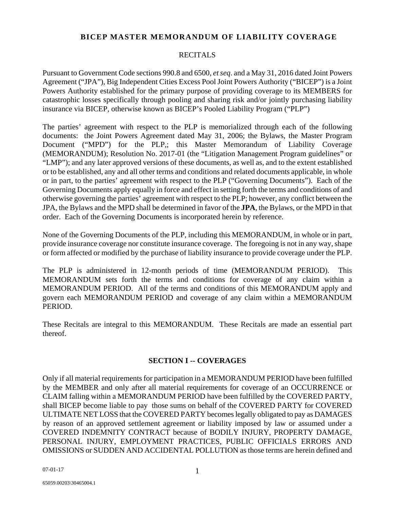## **BICEP MASTER MEMORANDUM OF LIABILITY COVERAGE**

#### RECITALS

Pursuant to Government Code sections 990.8 and 6500, *et seq*. and a May 31, 2016 dated Joint Powers Agreement ("JPA"), Big Independent Cities Excess Pool Joint Powers Authority ("BICEP") is a Joint Powers Authority established for the primary purpose of providing coverage to its MEMBERS for catastrophic losses specifically through pooling and sharing risk and/or jointly purchasing liability insurance via BICEP, otherwise known as BICEP's Pooled Liability Program ("PLP")

The parties' agreement with respect to the PLP is memorialized through each of the following documents: the Joint Powers Agreement dated May 31, 2006; the Bylaws, the Master Program Document ("MPD") for the PLP,; this Master Memorandum of Liability Coverage (MEMORANDUM); Resolution No. 2017-01 (the "Litigation Management Program guidelines" or "LMP"); and any later approved versions of these documents, as well as, and to the extent established or to be established, any and all other terms and conditions and related documents applicable, in whole or in part, to the parties' agreement with respect to the PLP ("Governing Documents"). Each of the Governing Documents apply equally in force and effect in setting forth the terms and conditions of and otherwise governing the parties' agreement with respect to the PLP; however, any conflict between the JPA, the Bylaws and the MPD shall be determined in favor of the **JPA**, the Bylaws, or the MPD in that order. Each of the Governing Documents is incorporated herein by reference.

None of the Governing Documents of the PLP, including this MEMORANDUM, in whole or in part, provide insurance coverage nor constitute insurance coverage. The foregoing is not in any way, shape or form affected or modified by the purchase of liability insurance to provide coverage under the PLP.

The PLP is administered in 12-month periods of time (MEMORANDUM PERIOD). This MEMORANDUM sets forth the terms and conditions for coverage of any claim within a MEMORANDUM PERIOD. All of the terms and conditions of this MEMORANDUM apply and govern each MEMORANDUM PERIOD and coverage of any claim within a MEMORANDUM PERIOD.

These Recitals are integral to this MEMORANDUM. These Recitals are made an essential part thereof.

## **SECTION I -- COVERAGES**

Only if all material requirements for participation in a MEMORANDUM PERIOD have been fulfilled by the MEMBER and only after all material requirements for coverage of an OCCURRENCE or CLAIM falling within a MEMORANDUM PERIOD have been fulfilled by the COVERED PARTY, shall BICEP become liable to pay those sums on behalf of the COVERED PARTY for COVERED ULTIMATE NET LOSS that the COVERED PARTY becomes legally obligated to pay as DAMAGES by reason of an approved settlement agreement or liability imposed by law or assumed under a COVERED INDEMNITY CONTRACT because of BODILY INJURY, PROPERTY DAMAGE, PERSONAL INJURY, EMPLOYMENT PRACTICES, PUBLIC OFFICIALS ERRORS AND OMISSIONS or SUDDEN AND ACCIDENTAL POLLUTION as those terms are herein defined and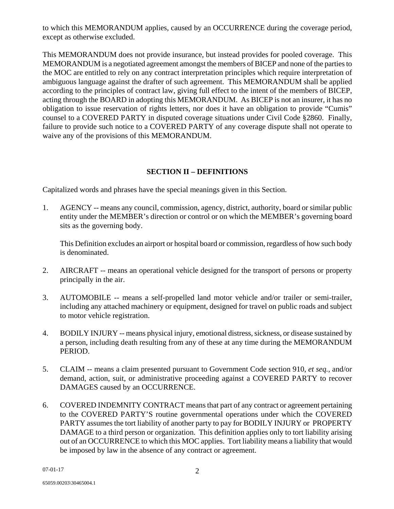to which this MEMORANDUM applies, caused by an OCCURRENCE during the coverage period, except as otherwise excluded.

This MEMORANDUM does not provide insurance, but instead provides for pooled coverage. This MEMORANDUM is a negotiated agreement amongst the members of BICEP and none of the parties to the MOC are entitled to rely on any contract interpretation principles which require interpretation of ambiguous language against the drafter of such agreement. This MEMORANDUM shall be applied according to the principles of contract law, giving full effect to the intent of the members of BICEP, acting through the BOARD in adopting this MEMORANDUM. As BICEP is not an insurer, it has no obligation to issue reservation of rights letters, nor does it have an obligation to provide "Cumis" counsel to a COVERED PARTY in disputed coverage situations under Civil Code §2860. Finally, failure to provide such notice to a COVERED PARTY of any coverage dispute shall not operate to waive any of the provisions of this MEMORANDUM.

# **SECTION II – DEFINITIONS**

Capitalized words and phrases have the special meanings given in this Section.

1. AGENCY -- means any council, commission, agency, district, authority, board or similar public entity under the MEMBER's direction or control or on which the MEMBER's governing board sits as the governing body.

This Definition excludes an airport or hospital board or commission, regardless of how such body is denominated.

- 2. AIRCRAFT -- means an operational vehicle designed for the transport of persons or property principally in the air.
- 3. AUTOMOBILE -- means a self-propelled land motor vehicle and/or trailer or semi-trailer, including any attached machinery or equipment, designed for travel on public roads and subject to motor vehicle registration.
- 4. BODILY INJURY -- means physical injury, emotional distress, sickness, or disease sustained by a person, including death resulting from any of these at any time during the MEMORANDUM PERIOD.
- 5. CLAIM -- means a claim presented pursuant to Government Code section 910, *et seq.*, and/or demand, action, suit, or administrative proceeding against a COVERED PARTY to recover DAMAGES caused by an OCCURRENCE.
- 6. COVERED INDEMNITY CONTRACT means that part of any contract or agreement pertaining to the COVERED PARTY'S routine governmental operations under which the COVERED PARTY assumes the tort liability of another party to pay for BODILY INJURY or PROPERTY DAMAGE to a third person or organization. This definition applies only to tort liability arising out of an OCCURRENCE to which this MOC applies. Tort liability means a liability that would be imposed by law in the absence of any contract or agreement.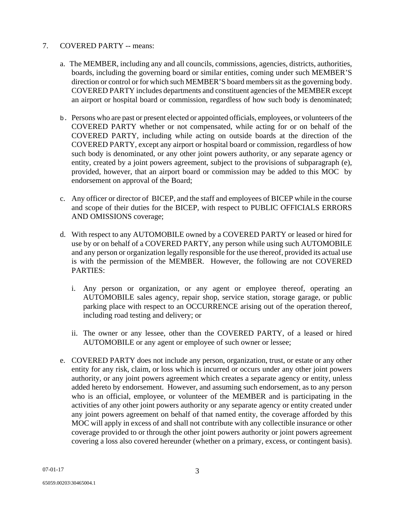## 7. COVERED PARTY -- means:

- a. The MEMBER, including any and all councils, commissions, agencies, districts, authorities, boards, including the governing board or similar entities, coming under such MEMBER'S direction or control or for which such MEMBER'S board members sit as the governing body. COVERED PARTY includes departments and constituent agencies of the MEMBER except an airport or hospital board or commission, regardless of how such body is denominated;
- b. Persons who are past or present elected or appointed officials, employees, or volunteers of the COVERED PARTY whether or not compensated, while acting for or on behalf of the COVERED PARTY, including while acting on outside boards at the direction of the COVERED PARTY, except any airport or hospital board or commission, regardless of how such body is denominated, or any other joint powers authority, or any separate agency or entity, created by a joint powers agreement, subject to the provisions of subparagraph (e), provided, however, that an airport board or commission may be added to this MOC by endorsement on approval of the Board;
- c. Any officer or director of BICEP, and the staff and employees of BICEP while in the course and scope of their duties for the BICEP, with respect to PUBLIC OFFICIALS ERRORS AND OMISSIONS coverage;
- d. With respect to any AUTOMOBILE owned by a COVERED PARTY or leased or hired for use by or on behalf of a COVERED PARTY, any person while using such AUTOMOBILE and any person or organization legally responsible for the use thereof, provided its actual use is with the permission of the MEMBER. However, the following are not COVERED PARTIES:
	- i. Any person or organization, or any agent or employee thereof, operating an AUTOMOBILE sales agency, repair shop, service station, storage garage, or public parking place with respect to an OCCURRENCE arising out of the operation thereof, including road testing and delivery; or
	- ii. The owner or any lessee, other than the COVERED PARTY, of a leased or hired AUTOMOBILE or any agent or employee of such owner or lessee;
- e. COVERED PARTY does not include any person, organization, trust, or estate or any other entity for any risk, claim, or loss which is incurred or occurs under any other joint powers authority, or any joint powers agreement which creates a separate agency or entity, unless added hereto by endorsement. However, and assuming such endorsement, as to any person who is an official, employee, or volunteer of the MEMBER and is participating in the activities of any other joint powers authority or any separate agency or entity created under any joint powers agreement on behalf of that named entity, the coverage afforded by this MOC will apply in excess of and shall not contribute with any collectible insurance or other coverage provided to or through the other joint powers authority or joint powers agreement covering a loss also covered hereunder (whether on a primary, excess, or contingent basis).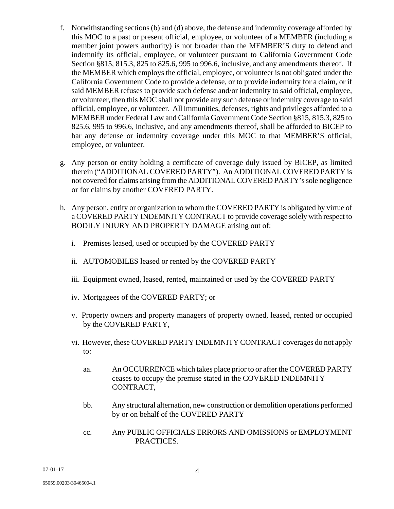- f. Notwithstanding sections (b) and (d) above, the defense and indemnity coverage afforded by this MOC to a past or present official, employee, or volunteer of a MEMBER (including a member joint powers authority) is not broader than the MEMBER'S duty to defend and indemnify its official, employee, or volunteer pursuant to California Government Code Section §815, 815.3, 825 to 825.6, 995 to 996.6, inclusive, and any amendments thereof. If the MEMBER which employs the official, employee, or volunteer is not obligated under the California Government Code to provide a defense, or to provide indemnity for a claim, or if said MEMBER refuses to provide such defense and/or indemnity to said official, employee, or volunteer, then this MOC shall not provide any such defense or indemnity coverage to said official, employee, or volunteer. All immunities, defenses, rights and privileges afforded to a MEMBER under Federal Law and California Government Code Section §815, 815.3, 825 to 825.6, 995 to 996.6, inclusive, and any amendments thereof, shall be afforded to BICEP to bar any defense or indemnity coverage under this MOC to that MEMBER'S official, employee, or volunteer.
- g. Any person or entity holding a certificate of coverage duly issued by BICEP, as limited therein ("ADDITIONAL COVERED PARTY"). An ADDITIONAL COVERED PARTY is not covered for claims arising from the ADDITIONAL COVERED PARTY's sole negligence or for claims by another COVERED PARTY.
- h. Any person, entity or organization to whom the COVERED PARTY is obligated by virtue of a COVERED PARTY INDEMNITY CONTRACT to provide coverage solely with respect to BODILY INJURY AND PROPERTY DAMAGE arising out of:
	- i. Premises leased, used or occupied by the COVERED PARTY
	- ii. AUTOMOBILES leased or rented by the COVERED PARTY
	- iii. Equipment owned, leased, rented, maintained or used by the COVERED PARTY
	- iv. Mortgagees of the COVERED PARTY; or
	- v. Property owners and property managers of property owned, leased, rented or occupied by the COVERED PARTY,
	- vi. However, these COVERED PARTY INDEMNITY CONTRACT coverages do not apply to:
		- aa. An OCCURRENCE which takes place prior to or after the COVERED PARTY ceases to occupy the premise stated in the COVERED INDEMNITY CONTRACT,
		- bb. Any structural alternation, new construction or demolition operations performed by or on behalf of the COVERED PARTY
		- cc. Any PUBLIC OFFICIALS ERRORS AND OMISSIONS or EMPLOYMENT PRACTICES.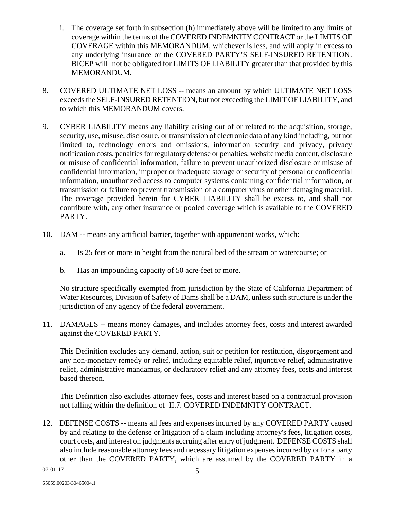- i. The coverage set forth in subsection (h) immediately above will be limited to any limits of coverage within the terms of the COVERED INDEMNITY CONTRACT or the LIMITS OF COVERAGE within this MEMORANDUM, whichever is less, and will apply in excess to any underlying insurance or the COVERED PARTY'S SELF-INSURED RETENTION. BICEP will not be obligated for LIMITS OF LIABILITY greater than that provided by this MEMORANDUM.
- 8. COVERED ULTIMATE NET LOSS -- means an amount by which ULTIMATE NET LOSS exceeds the SELF-INSURED RETENTION, but not exceeding the LIMIT OF LIABILITY, and to which this MEMORANDUM covers.
- 9. CYBER LIABILITY means any liability arising out of or related to the acquisition, storage, security, use, misuse, disclosure, or transmission of electronic data of any kind including, but not limited to, technology errors and omissions, information security and privacy, privacy notification costs, penalties for regulatory defense or penalties, website media content, disclosure or misuse of confidential information, failure to prevent unauthorized disclosure or misuse of confidential information, improper or inadequate storage or security of personal or confidential information, unauthorized access to computer systems containing confidential information, or transmission or failure to prevent transmission of a computer virus or other damaging material. The coverage provided herein for CYBER LIABILITY shall be excess to, and shall not contribute with, any other insurance or pooled coverage which is available to the COVERED PARTY.
- 10. DAM -- means any artificial barrier, together with appurtenant works, which:
	- a. Is 25 feet or more in height from the natural bed of the stream or watercourse; or
	- b. Has an impounding capacity of 50 acre-feet or more.

No structure specifically exempted from jurisdiction by the State of California Department of Water Resources, Division of Safety of Dams shall be a DAM, unless such structure is under the jurisdiction of any agency of the federal government.

11. DAMAGES -- means money damages, and includes attorney fees, costs and interest awarded against the COVERED PARTY.

This Definition excludes any demand, action, suit or petition for restitution, disgorgement and any non-monetary remedy or relief, including equitable relief, injunctive relief, administrative relief, administrative mandamus, or declaratory relief and any attorney fees, costs and interest based thereon.

This Definition also excludes attorney fees, costs and interest based on a contractual provision not falling within the definition of II.7. COVERED INDEMNITY CONTRACT.

12. DEFENSE COSTS -- means all fees and expenses incurred by any COVERED PARTY caused by and relating to the defense or litigation of a claim including attorney's fees, litigation costs, court costs, and interest on judgments accruing after entry of judgment. DEFENSE COSTS shall also include reasonable attorney fees and necessary litigation expenses incurred by or for a party other than the COVERED PARTY, which are assumed by the COVERED PARTY in a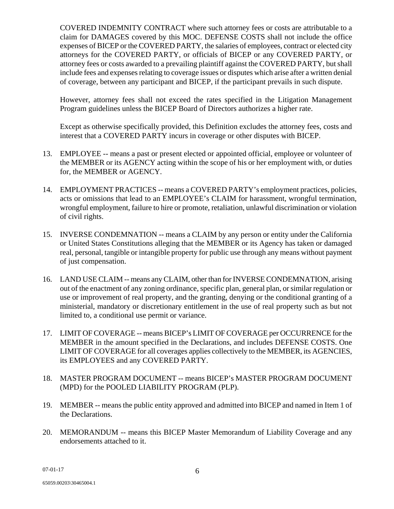COVERED INDEMNITY CONTRACT where such attorney fees or costs are attributable to a claim for DAMAGES covered by this MOC. DEFENSE COSTS shall not include the office expenses of BICEP or the COVERED PARTY, the salaries of employees, contract or elected city attorneys for the COVERED PARTY, or officials of BICEP or any COVERED PARTY, or attorney fees or costs awarded to a prevailing plaintiff against the COVERED PARTY, but shall include fees and expenses relating to coverage issues or disputes which arise after a written denial of coverage, between any participant and BICEP, if the participant prevails in such dispute.

 However, attorney fees shall not exceed the rates specified in the Litigation Management Program guidelines unless the BICEP Board of Directors authorizes a higher rate.

Except as otherwise specifically provided, this Definition excludes the attorney fees, costs and interest that a COVERED PARTY incurs in coverage or other disputes with BICEP.

- 13. EMPLOYEE -- means a past or present elected or appointed official, employee or volunteer of the MEMBER or its AGENCY acting within the scope of his or her employment with, or duties for, the MEMBER or AGENCY.
- 14. EMPLOYMENT PRACTICES -- means a COVERED PARTY's employment practices, policies, acts or omissions that lead to an EMPLOYEE's CLAIM for harassment, wrongful termination, wrongful employment, failure to hire or promote, retaliation, unlawful discrimination or violation of civil rights.
- 15. INVERSE CONDEMNATION -- means a CLAIM by any person or entity under the California or United States Constitutions alleging that the MEMBER or its Agency has taken or damaged real, personal, tangible or intangible property for public use through any means without payment of just compensation.
- 16. LAND USE CLAIM -- means any CLAIM, other than for INVERSE CONDEMNATION, arising out of the enactment of any zoning ordinance, specific plan, general plan, or similar regulation or use or improvement of real property, and the granting, denying or the conditional granting of a ministerial, mandatory or discretionary entitlement in the use of real property such as but not limited to, a conditional use permit or variance.
- 17. LIMIT OF COVERAGE -- means BICEP's LIMIT OF COVERAGE per OCCURRENCE for the MEMBER in the amount specified in the Declarations, and includes DEFENSE COSTS. One LIMIT OF COVERAGE for all coverages applies collectively to the MEMBER, its AGENCIES, its EMPLOYEES and any COVERED PARTY.
- 18. MASTER PROGRAM DOCUMENT -- means BICEP's MASTER PROGRAM DOCUMENT (MPD) for the POOLED LIABILITY PROGRAM (PLP).
- 19. MEMBER -- means the public entity approved and admitted into BICEP and named in Item 1 of the Declarations.
- 20. MEMORANDUM -- means this BICEP Master Memorandum of Liability Coverage and any endorsements attached to it.

07-01-17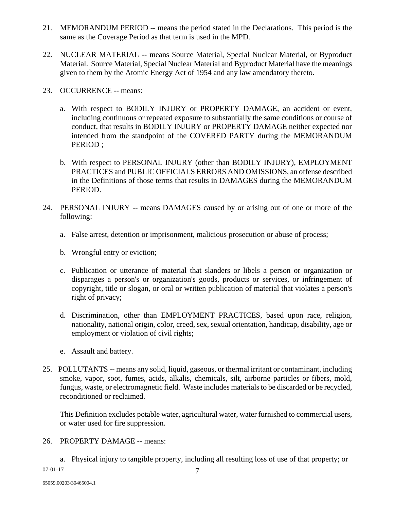- 21. MEMORANDUM PERIOD -- means the period stated in the Declarations. This period is the same as the Coverage Period as that term is used in the MPD.
- 22. NUCLEAR MATERIAL -- means Source Material, Special Nuclear Material, or Byproduct Material. Source Material, Special Nuclear Material and Byproduct Material have the meanings given to them by the Atomic Energy Act of 1954 and any law amendatory thereto.
- 23. OCCURRENCE -- means:
	- a. With respect to BODILY INJURY or PROPERTY DAMAGE, an accident or event, including continuous or repeated exposure to substantially the same conditions or course of conduct, that results in BODILY INJURY or PROPERTY DAMAGE neither expected nor intended from the standpoint of the COVERED PARTY during the MEMORANDUM PERIOD ;
	- b. With respect to PERSONAL INJURY (other than BODILY INJURY), EMPLOYMENT PRACTICES and PUBLIC OFFICIALS ERRORS AND OMISSIONS, an offense described in the Definitions of those terms that results in DAMAGES during the MEMORANDUM PERIOD.
- 24. PERSONAL INJURY -- means DAMAGES caused by or arising out of one or more of the following:
	- a. False arrest, detention or imprisonment, malicious prosecution or abuse of process;
	- b. Wrongful entry or eviction;
	- c. Publication or utterance of material that slanders or libels a person or organization or disparages a person's or organization's goods, products or services, or infringement of copyright, title or slogan, or oral or written publication of material that violates a person's right of privacy;
	- d. Discrimination, other than EMPLOYMENT PRACTICES, based upon race, religion, nationality, national origin, color, creed, sex, sexual orientation, handicap, disability, age or employment or violation of civil rights;
	- e. Assault and battery.
- 25. POLLUTANTS -- means any solid, liquid, gaseous, or thermal irritant or contaminant, including smoke, vapor, soot, fumes, acids, alkalis, chemicals, silt, airborne particles or fibers, mold, fungus, waste, or electromagnetic field. Waste includes materials to be discarded or be recycled, reconditioned or reclaimed.

This Definition excludes potable water, agricultural water, water furnished to commercial users, or water used for fire suppression.

## 26. PROPERTY DAMAGE -- means:

07-01-17 7 a. Physical injury to tangible property, including all resulting loss of use of that property; or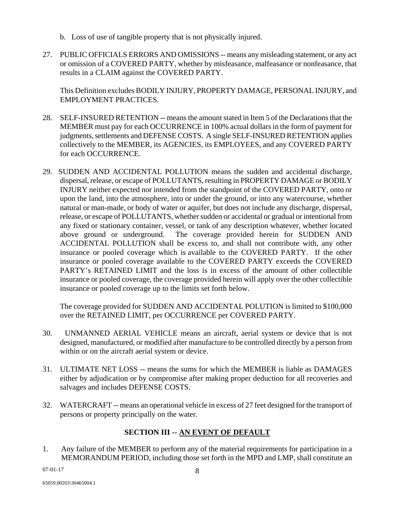- b. Loss of use of tangible property that is not physically injured.
- 27. PUBLIC OFFICIALS ERRORS AND OMISSIONS -- means any misleading statement, or any act or omission of a COVERED PARTY, whether by misfeasance, malfeasance or nonfeasance, that results in a CLAIM against the COVERED PARTY.

This Definition excludes BODILY INJURY, PROPERTY DAMAGE, PERSONAL INJURY, and EMPLOYMENT PRACTICES.

- 28. SELF-INSURED RETENTION -- means the amount stated in Item 5 of the Declarations that the MEMBER must pay for each OCCURRENCE in 100% actual dollars in the form of payment for judgments, settlements and DEFENSE COSTS. A single SELF-INSURED RETENTION applies collectively to the MEMBER, its AGENCIES, its EMPLOYEES, and any COVERED PARTY for each OCCURRENCE.
- 29. SUDDEN AND ACCIDENTAL POLLUTION means the sudden and accidental discharge, dispersal, release, or escape of POLLUTANTS, resulting in PROPERTY DAMAGE or BODILY INJURY neither expected nor intended from the standpoint of the COVERED PARTY, onto or upon the land, into the atmosphere, into or under the ground, or into any watercourse, whether natural or man-made, or body of water or aquifer, but does not include any discharge, dispersal, release, or escape of POLLUTANTS, whether sudden or accidental or gradual or intentional from any fixed or stationary container, vessel, or tank of any description whatever, whether located above ground or underground. The coverage provided herein for SUDDEN AND ACCIDENTAL POLLUTION shall be excess to, and shall not contribute with, any other insurance or pooled coverage which is available to the COVERED PARTY. If the other insurance or pooled coverage available to the COVERED PARTY exceeds the COVERED PARTY's RETAINED LIMIT and the loss is in excess of the amount of other collectible insurance or pooled coverage, the coverage provided herein will apply over the other collectible insurance or pooled coverage up to the limits set forth below.

The coverage provided for SUDDEN AND ACCIDENTAL POLUTION is limited to \$100,000 over the RETAINED LIMIT, per OCCURRENCE per COVERED PARTY.

- 30. UNMANNED AERIAL VEHICLE means an aircraft, aerial system or device that is not designed, manufactured, or modified after manufacture to be controlled directly by a person from within or on the aircraft aerial system or device.
- 31. ULTIMATE NET LOSS -- means the sums for which the MEMBER is liable as DAMAGES either by adjudication or by compromise after making proper deduction for all recoveries and salvages and includes DEFENSE COSTS.
- 32. WATERCRAFT -- means an operational vehicle in excess of 27 feet designed for the transport of persons or property principally on the water.

# **SECTION III -- AN EVENT OF DEFAULT**

1. Any failure of the MEMBER to perform any of the material requirements for participation in a MEMORANDUM PERIOD, including those set forth in the MPD and LMP, shall constitute an

07-01-17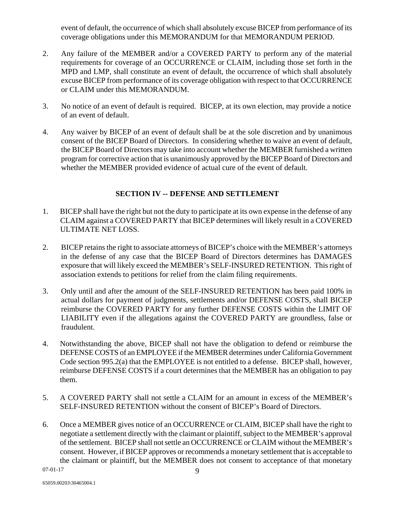event of default, the occurrence of which shall absolutely excuse BICEP from performance of its coverage obligations under this MEMORANDUM for that MEMORANDUM PERIOD.

- 2. Any failure of the MEMBER and/or a COVERED PARTY to perform any of the material requirements for coverage of an OCCURRENCE or CLAIM, including those set forth in the MPD and LMP, shall constitute an event of default, the occurrence of which shall absolutely excuse BICEP from performance of its coverage obligation with respect to that OCCURRENCE or CLAIM under this MEMORANDUM.
- 3. No notice of an event of default is required. BICEP, at its own election, may provide a notice of an event of default.
- 4. Any waiver by BICEP of an event of default shall be at the sole discretion and by unanimous consent of the BICEP Board of Directors. In considering whether to waive an event of default, the BICEP Board of Directors may take into account whether the MEMBER furnished a written program for corrective action that is unanimously approved by the BICEP Board of Directors and whether the MEMBER provided evidence of actual cure of the event of default.

## **SECTION IV -- DEFENSE AND SETTLEMENT**

- 1. BICEP shall have the right but not the duty to participate at its own expense in the defense of any CLAIM against a COVERED PARTY that BICEP determines will likely result in a COVERED ULTIMATE NET LOSS.
- 2. BICEP retains the right to associate attorneys of BICEP's choice with the MEMBER's attorneys in the defense of any case that the BICEP Board of Directors determines has DAMAGES exposure that will likely exceed the MEMBER's SELF-INSURED RETENTION. This right of association extends to petitions for relief from the claim filing requirements.
- 3. Only until and after the amount of the SELF-INSURED RETENTION has been paid 100% in actual dollars for payment of judgments, settlements and/or DEFENSE COSTS, shall BICEP reimburse the COVERED PARTY for any further DEFENSE COSTS within the LIMIT OF LIABILITY even if the allegations against the COVERED PARTY are groundless, false or fraudulent.
- 4. Notwithstanding the above, BICEP shall not have the obligation to defend or reimburse the DEFENSE COSTS of an EMPLOYEE if the MEMBER determines under California Government Code section 995.2(a) that the EMPLOYEE is not entitled to a defense. BICEP shall, however, reimburse DEFENSE COSTS if a court determines that the MEMBER has an obligation to pay them.
- 5. A COVERED PARTY shall not settle a CLAIM for an amount in excess of the MEMBER's SELF-INSURED RETENTION without the consent of BICEP's Board of Directors.
- 6. Once a MEMBER gives notice of an OCCURRENCE or CLAIM, BICEP shall have the right to negotiate a settlement directly with the claimant or plaintiff, subject to the MEMBER's approval of the settlement. BICEP shall not settle an OCCURRENCE or CLAIM without the MEMBER's consent. However, if BICEP approves or recommends a monetary settlement that is acceptable to the claimant or plaintiff, but the MEMBER does not consent to acceptance of that monetary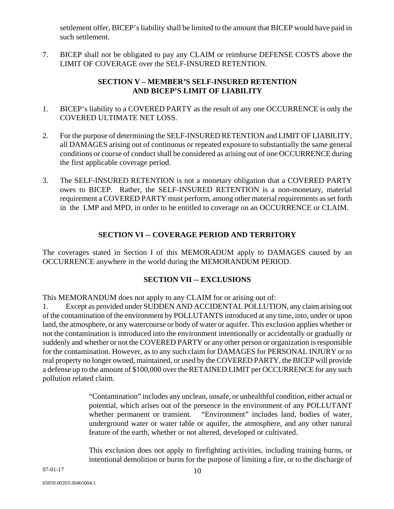settlement offer, BICEP's liability shall be limited to the amount that BICEP would have paid in such settlement.

7. BICEP shall not be obligated to pay any CLAIM or reimburse DEFENSE COSTS above the LIMIT OF COVERAGE over the SELF-INSURED RETENTION.

# **SECTION V – MEMBER'S SELF-INSURED RETENTION AND BICEP'S LIMIT OF LIABILITY**

- 1. BICEP's liability to a COVERED PARTY as the result of any one OCCURRENCE is only the COVERED ULTIMATE NET LOSS.
- 2. For the purpose of determining the SELF-INSURED RETENTION and LIMIT OF LIABILITY, all DAMAGES arising out of continuous or repeated exposure to substantially the same general conditions or course of conduct shall be considered as arising out of one OCCURRENCE during the first applicable coverage period.
- 3. The SELF-INSURED RETENTION is not a monetary obligation that a COVERED PARTY owes to BICEP. Rather, the SELF-INSURED RETENTION is a non-monetary, material requirement a COVERED PARTY must perform, among other material requirements as set forth in the LMP and MPD, in order to be entitled to coverage on an OCCURRENCE or CLAIM.

# **SECTION VI -- COVERAGE PERIOD AND TERRITORY**

The coverages stated in Section I of this MEMORADUM apply to DAMAGES caused by an OCCURRENCE anywhere in the world during the MEMORANDUM PERIOD.

## **SECTION VII -- EXCLUSIONS**

This MEMORANDUM does not apply to any CLAIM for or arising out of:

1. Except as provided under SUDDEN AND ACCIDENTAL POLLUTION, any claim arising out of the contamination of the environment by POLLUTANTS introduced at any time, into, under or upon land, the atmosphere, or any watercourse or body of water or aquifer. This exclusion applies whether or not the contamination is introduced into the environment intentionally or accidentally or gradually or suddenly and whether or not the COVERED PARTY or any other person or organization is responsible for the contamination. However, as to any such claim for DAMAGES for PERSONAL INJURY or to real property no longer owned, maintained, or used by the COVERED PARTY, the BICEP will provide a defense up to the amount of \$100,000 over the RETAINED LIMIT per OCCURRENCE for any such pollution related claim.

> "Contamination" includes any unclean, unsafe, or unhealthful condition, either actual or potential, which arises out of the presence in the environment of any POLLUTANT whether permanent or transient. "Environment" includes land, bodies of water, underground water or water table or aquifer, the atmosphere, and any other natural feature of the earth, whether or not altered, developed or cultivated.

> This exclusion does not apply to firefighting activities, including training burns, or intentional demolition or burns for the purpose of limiting a fire, or to the discharge of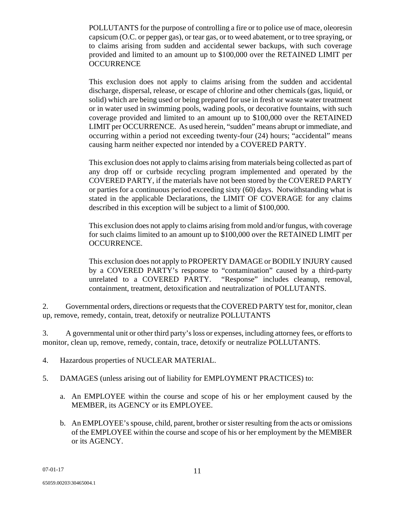POLLUTANTS for the purpose of controlling a fire or to police use of mace, oleoresin capsicum (O.C. or pepper gas), or tear gas, or to weed abatement, or to tree spraying, or to claims arising from sudden and accidental sewer backups, with such coverage provided and limited to an amount up to \$100,000 over the RETAINED LIMIT per **OCCURRENCE** 

This exclusion does not apply to claims arising from the sudden and accidental discharge, dispersal, release, or escape of chlorine and other chemicals (gas, liquid, or solid) which are being used or being prepared for use in fresh or waste water treatment or in water used in swimming pools, wading pools, or decorative fountains, with such coverage provided and limited to an amount up to \$100,000 over the RETAINED LIMIT per OCCURRENCE. As used herein, "sudden" means abrupt or immediate, and occurring within a period not exceeding twenty-four (24) hours; "accidental" means causing harm neither expected nor intended by a COVERED PARTY.

This exclusion does not apply to claims arising from materials being collected as part of any drop off or curbside recycling program implemented and operated by the COVERED PARTY, if the materials have not been stored by the COVERED PARTY or parties for a continuous period exceeding sixty (60) days. Notwithstanding what is stated in the applicable Declarations, the LIMIT OF COVERAGE for any claims described in this exception will be subject to a limit of \$100,000.

This exclusion does not apply to claims arising from mold and/or fungus, with coverage for such claims limited to an amount up to \$100,000 over the RETAINED LIMIT per OCCURRENCE.

This exclusion does not apply to PROPERTY DAMAGE or BODILY INJURY caused by a COVERED PARTY's response to "contamination" caused by a third-party unrelated to a COVERED PARTY. "Response" includes cleanup, removal, containment, treatment, detoxification and neutralization of POLLUTANTS.

2. Governmental orders, directions or requests that the COVERED PARTY test for, monitor, clean up, remove, remedy, contain, treat, detoxify or neutralize POLLUTANTS

3. A governmental unit or other third party's loss or expenses, including attorney fees, or efforts to monitor, clean up, remove, remedy, contain, trace, detoxify or neutralize POLLUTANTS.

- 4. Hazardous properties of NUCLEAR MATERIAL.
- 5. DAMAGES (unless arising out of liability for EMPLOYMENT PRACTICES) to:
	- a. An EMPLOYEE within the course and scope of his or her employment caused by the MEMBER, its AGENCY or its EMPLOYEE.
	- b. An EMPLOYEE's spouse, child, parent, brother or sister resulting from the acts or omissions of the EMPLOYEE within the course and scope of his or her employment by the MEMBER or its AGENCY.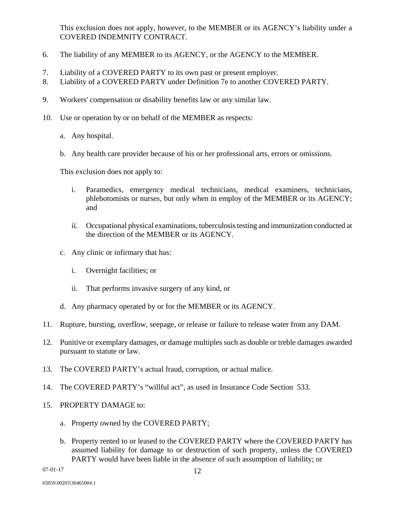This exclusion does not apply, however, to the MEMBER or its AGENCY's liability under a COVERED INDEMNITY CONTRACT.

- 6. The liability of any MEMBER to its AGENCY, or the AGENCY to the MEMBER.
- 7. Liability of a COVERED PARTY to its own past or present employer.
- 8. Liability of a COVERED PARTY under Definition 7e to another COVERED PARTY.
- 9. Workers' compensation or disability benefits law or any similar law.
- 10. Use or operation by or on behalf of the MEMBER as respects:
	- a. Any hospital.
	- b. Any health care provider because of his or her professional arts, errors or omissions.

This exclusion does not apply to:

- i. Paramedics, emergency medical technicians, medical examiners, technicians, phlebotomists or nurses, but only when in employ of the MEMBER or its AGENCY; and
- ii. Occupational physical examinations, tuberculosis testing and immunization conducted at the direction of the MEMBER or its AGENCY.
- c. Any clinic or infirmary that has:
	- i. Overnight facilities; or
	- ii. That performs invasive surgery of any kind, or
- d. Any pharmacy operated by or for the MEMBER or its AGENCY.
- 11. Rupture, bursting, overflow, seepage, or release or failure to release water from any DAM.
- 12. Punitive or exemplary damages, or damage multiples such as double or treble damages awarded pursuant to statute or law.
- 13. The COVERED PARTY's actual fraud, corruption, or actual malice.
- 14. The COVERED PARTY's "willful act", as used in Insurance Code Section 533.
- 15. PROPERTY DAMAGE to:
	- a. Property owned by the COVERED PARTY;
	- b. Property rented to or leased to the COVERED PARTY where the COVERED PARTY has assumed liability for damage to or destruction of such property, unless the COVERED PARTY would have been liable in the absence of such assumption of liability; or

07-01-17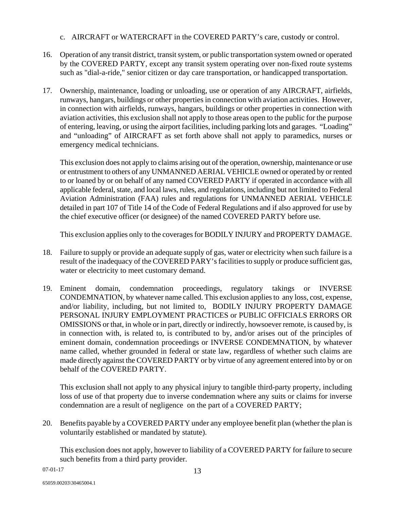## c. AIRCRAFT or WATERCRAFT in the COVERED PARTY's care, custody or control.

- 16. Operation of any transit district, transit system, or public transportation system owned or operated by the COVERED PARTY, except any transit system operating over non-fixed route systems such as "dial-a-ride," senior citizen or day care transportation, or handicapped transportation.
- 17. Ownership, maintenance, loading or unloading, use or operation of any AIRCRAFT, airfields, runways, hangars, buildings or other properties in connection with aviation activities. However, in connection with airfields, runways, hangars, buildings or other properties in connection with aviation activities, this exclusion shall not apply to those areas open to the public for the purpose of entering, leaving, or using the airport facilities, including parking lots and garages. "Loading" and "unloading" of AIRCRAFT as set forth above shall not apply to paramedics, nurses or emergency medical technicians.

 This exclusion does not apply to claims arising out of the operation, ownership, maintenance or use or entrustment to others of any UNMANNED AERIAL VEHICLE owned or operated by or rented to or loaned by or on behalf of any named COVERED PARTY if operated in accordance with all applicable federal, state, and local laws, rules, and regulations, including but not limited to Federal Aviation Administration (FAA) rules and regulations for UNMANNED AERIAL VEHICLE detailed in part 107 of Title 14 of the Code of Federal Regulations and if also approved for use by the chief executive officer (or designee) of the named COVERED PARTY before use.

This exclusion applies only to the coverages for BODILY INJURY and PROPERTY DAMAGE.

- 18. Failure to supply or provide an adequate supply of gas, water or electricity when such failure is a result of the inadequacy of the COVERED PARY's facilities to supply or produce sufficient gas, water or electricity to meet customary demand.
- 19. Eminent domain, condemnation proceedings, regulatory takings or INVERSE CONDEMNATION, by whatever name called. This exclusion applies to any loss, cost, expense, and/or liability, including, but not limited to, BODILY INJURY PROPERTY DAMAGE PERSONAL INJURY EMPLOYMENT PRACTICES or PUBLIC OFFICIALS ERRORS OR OMISSIONS or that, in whole or in part, directly or indirectly, howsoever remote, is caused by, is in connection with, is related to, is contributed to by, and/or arises out of the principles of eminent domain, condemnation proceedings or INVERSE CONDEMNATION, by whatever name called, whether grounded in federal or state law, regardless of whether such claims are made directly against the COVERED PARTY or by virtue of any agreement entered into by or on behalf of the COVERED PARTY.

 This exclusion shall not apply to any physical injury to tangible third-party property, including loss of use of that property due to inverse condemnation where any suits or claims for inverse condemnation are a result of negligence on the part of a COVERED PARTY;

20. Benefits payable by a COVERED PARTY under any employee benefit plan (whether the plan is voluntarily established or mandated by statute).

This exclusion does not apply, however to liability of a COVERED PARTY for failure to secure such benefits from a third party provider.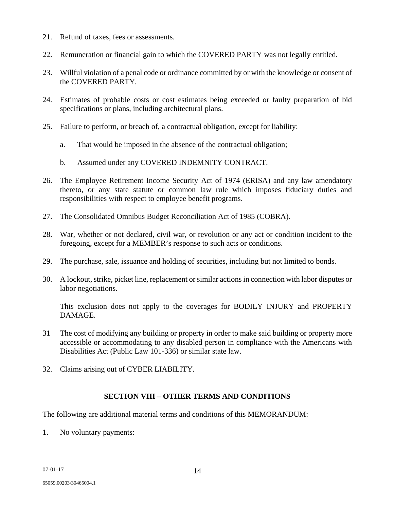- 21. Refund of taxes, fees or assessments.
- 22. Remuneration or financial gain to which the COVERED PARTY was not legally entitled.
- 23. Willful violation of a penal code or ordinance committed by or with the knowledge or consent of the COVERED PARTY.
- 24. Estimates of probable costs or cost estimates being exceeded or faulty preparation of bid specifications or plans, including architectural plans.
- 25. Failure to perform, or breach of, a contractual obligation, except for liability:
	- a. That would be imposed in the absence of the contractual obligation;
	- b. Assumed under any COVERED INDEMNITY CONTRACT.
- 26. The Employee Retirement Income Security Act of 1974 (ERISA) and any law amendatory thereto, or any state statute or common law rule which imposes fiduciary duties and responsibilities with respect to employee benefit programs.
- 27. The Consolidated Omnibus Budget Reconciliation Act of 1985 (COBRA).
- 28. War, whether or not declared, civil war, or revolution or any act or condition incident to the foregoing, except for a MEMBER's response to such acts or conditions.
- 29. The purchase, sale, issuance and holding of securities, including but not limited to bonds.
- 30. A lockout, strike, picket line, replacement or similar actions in connection with labor disputes or labor negotiations.

This exclusion does not apply to the coverages for BODILY INJURY and PROPERTY DAMAGE.

- 31 The cost of modifying any building or property in order to make said building or property more accessible or accommodating to any disabled person in compliance with the Americans with Disabilities Act (Public Law 101-336) or similar state law.
- 32. Claims arising out of CYBER LIABILITY.

#### **SECTION VIII – OTHER TERMS AND CONDITIONS**

The following are additional material terms and conditions of this MEMORANDUM:

1. No voluntary payments: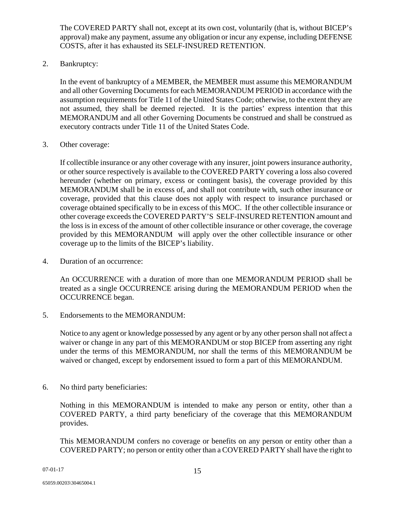The COVERED PARTY shall not, except at its own cost, voluntarily (that is, without BICEP's approval) make any payment, assume any obligation or incur any expense, including DEFENSE COSTS, after it has exhausted its SELF-INSURED RETENTION.

2. Bankruptcy:

In the event of bankruptcy of a MEMBER, the MEMBER must assume this MEMORANDUM and all other Governing Documents for each MEMORANDUM PERIOD in accordance with the assumption requirements for Title 11 of the United States Code; otherwise, to the extent they are not assumed, they shall be deemed rejected. It is the parties' express intention that this MEMORANDUM and all other Governing Documents be construed and shall be construed as executory contracts under Title 11 of the United States Code.

3. Other coverage:

If collectible insurance or any other coverage with any insurer, joint powers insurance authority, or other source respectively is available to the COVERED PARTY covering a loss also covered hereunder (whether on primary, excess or contingent basis), the coverage provided by this MEMORANDUM shall be in excess of, and shall not contribute with, such other insurance or coverage, provided that this clause does not apply with respect to insurance purchased or coverage obtained specifically to be in excess of this MOC. If the other collectible insurance or other coverage exceeds the COVERED PARTY'S SELF-INSURED RETENTION amount and the loss is in excess of the amount of other collectible insurance or other coverage, the coverage provided by this MEMORANDUM will apply over the other collectible insurance or other coverage up to the limits of the BICEP's liability.

4. Duration of an occurrence:

An OCCURRENCE with a duration of more than one MEMORANDUM PERIOD shall be treated as a single OCCURRENCE arising during the MEMORANDUM PERIOD when the OCCURRENCE began.

5. Endorsements to the MEMORANDUM:

Notice to any agent or knowledge possessed by any agent or by any other person shall not affect a waiver or change in any part of this MEMORANDUM or stop BICEP from asserting any right under the terms of this MEMORANDUM, nor shall the terms of this MEMORANDUM be waived or changed, except by endorsement issued to form a part of this MEMORANDUM.

6. No third party beneficiaries:

Nothing in this MEMORANDUM is intended to make any person or entity, other than a COVERED PARTY, a third party beneficiary of the coverage that this MEMORANDUM provides.

This MEMORANDUM confers no coverage or benefits on any person or entity other than a COVERED PARTY; no person or entity other than a COVERED PARTY shall have the right to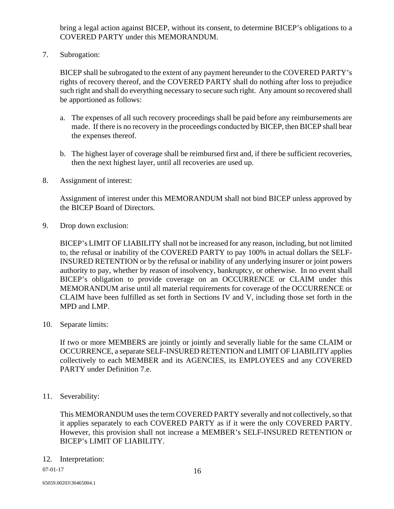bring a legal action against BICEP, without its consent, to determine BICEP's obligations to a COVERED PARTY under this MEMORANDUM.

7. Subrogation:

BICEP shall be subrogated to the extent of any payment hereunder to the COVERED PARTY's rights of recovery thereof, and the COVERED PARTY shall do nothing after loss to prejudice such right and shall do everything necessary to secure such right. Any amount so recovered shall be apportioned as follows:

- a. The expenses of all such recovery proceedings shall be paid before any reimbursements are made. If there is no recovery in the proceedings conducted by BICEP, then BICEP shall bear the expenses thereof.
- b. The highest layer of coverage shall be reimbursed first and, if there be sufficient recoveries, then the next highest layer, until all recoveries are used up.
- 8. Assignment of interest:

Assignment of interest under this MEMORANDUM shall not bind BICEP unless approved by the BICEP Board of Directors.

9. Drop down exclusion:

BICEP's LIMIT OF LIABILITY shall not be increased for any reason, including, but not limited to, the refusal or inability of the COVERED PARTY to pay 100% in actual dollars the SELF-INSURED RETENTION or by the refusal or inability of any underlying insurer or joint powers authority to pay, whether by reason of insolvency, bankruptcy, or otherwise. In no event shall BICEP's obligation to provide coverage on an OCCURRENCE or CLAIM under this MEMORANDUM arise until all material requirements for coverage of the OCCURRENCE or CLAIM have been fulfilled as set forth in Sections IV and V, including those set forth in the MPD and LMP.

10. Separate limits:

If two or more MEMBERS are jointly or jointly and severally liable for the same CLAIM or OCCURRENCE, a separate SELF-INSURED RETENTION and LIMIT OF LIABILITY applies collectively to each MEMBER and its AGENCIES, its EMPLOYEES and any COVERED PARTY under Definition 7.e.

11. Severability:

This MEMORANDUM uses the term COVERED PARTY severally and not collectively, so that it applies separately to each COVERED PARTY as if it were the only COVERED PARTY. However, this provision shall not increase a MEMBER's SELF-INSURED RETENTION or BICEP's LIMIT OF LIABILITY.

12. Interpretation: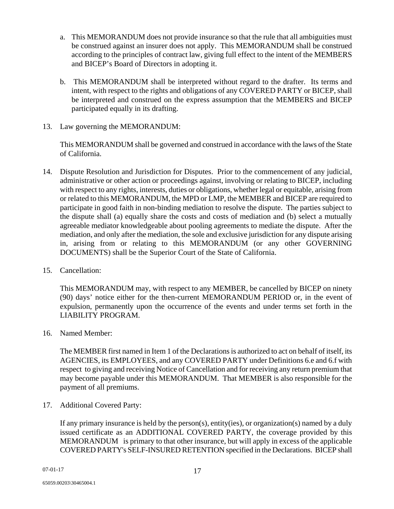- a. This MEMORANDUM does not provide insurance so that the rule that all ambiguities must be construed against an insurer does not apply. This MEMORANDUM shall be construed according to the principles of contract law, giving full effect to the intent of the MEMBERS and BICEP's Board of Directors in adopting it.
- b. This MEMORANDUM shall be interpreted without regard to the drafter. Its terms and intent, with respect to the rights and obligations of any COVERED PARTY or BICEP, shall be interpreted and construed on the express assumption that the MEMBERS and BICEP participated equally in its drafting.
- 13. Law governing the MEMORANDUM:

This MEMORANDUM shall be governed and construed in accordance with the laws of the State of California.

- 14. Dispute Resolution and Jurisdiction for Disputes. Prior to the commencement of any judicial, administrative or other action or proceedings against, involving or relating to BICEP, including with respect to any rights, interests, duties or obligations, whether legal or equitable, arising from or related to this MEMORANDUM, the MPD or LMP, the MEMBER and BICEP are required to participate in good faith in non-binding mediation to resolve the dispute. The parties subject to the dispute shall (a) equally share the costs and costs of mediation and (b) select a mutually agreeable mediator knowledgeable about pooling agreements to mediate the dispute. After the mediation, and only after the mediation, the sole and exclusive jurisdiction for any dispute arising in, arising from or relating to this MEMORANDUM (or any other GOVERNING DOCUMENTS) shall be the Superior Court of the State of California.
- 15. Cancellation:

This MEMORANDUM may, with respect to any MEMBER, be cancelled by BICEP on ninety (90) days' notice either for the then-current MEMORANDUM PERIOD or, in the event of expulsion, permanently upon the occurrence of the events and under terms set forth in the LIABILITY PROGRAM.

16. Named Member:

The MEMBER first named in Item 1 of the Declarations is authorized to act on behalf of itself, its AGENCIES, its EMPLOYEES, and any COVERED PARTY under Definitions 6.e and 6.f with respect to giving and receiving Notice of Cancellation and for receiving any return premium that may become payable under this MEMORANDUM. That MEMBER is also responsible for the payment of all premiums.

17. Additional Covered Party:

If any primary insurance is held by the person(s), entity(ies), or organization(s) named by a duly issued certificate as an ADDITIONAL COVERED PARTY, the coverage provided by this MEMORANDUM is primary to that other insurance, but will apply in excess of the applicable COVERED PARTY's SELF-INSURED RETENTION specified in the Declarations. BICEP shall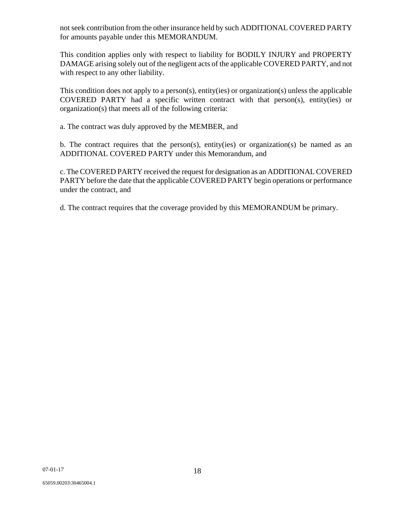not seek contribution from the other insurance held by such ADDITIONAL COVERED PARTY for amounts payable under this MEMORANDUM.

This condition applies only with respect to liability for BODILY INJURY and PROPERTY DAMAGE arising solely out of the negligent acts of the applicable COVERED PARTY, and not with respect to any other liability.

 This condition does not apply to a person(s), entity(ies) or organization(s) unless the applicable COVERED PARTY had a specific written contract with that person(s), entity(ies) or organization(s) that meets all of the following criteria:

a. The contract was duly approved by the MEMBER, and

 b. The contract requires that the person(s), entity(ies) or organization(s) be named as an ADDITIONAL COVERED PARTY under this Memorandum, and

 c. The COVERED PARTY received the request for designation as an ADDITIONAL COVERED PARTY before the date that the applicable COVERED PARTY begin operations or performance under the contract, and

d. The contract requires that the coverage provided by this MEMORANDUM be primary.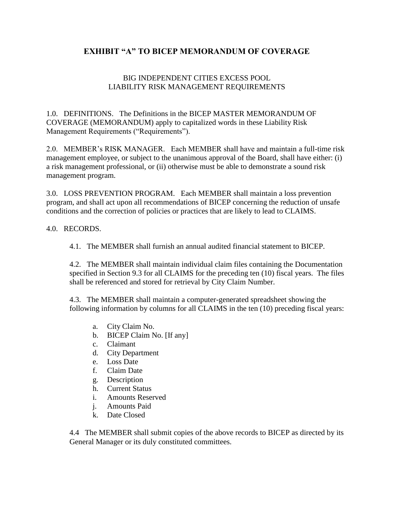# **EXHIBIT "A" TO BICEP MEMORANDUM OF COVERAGE**

# BIG INDEPENDENT CITIES EXCESS POOL LIABILITY RISK MANAGEMENT REQUIREMENTS

1.0. DEFINITIONS. The Definitions in the BICEP MASTER MEMORANDUM OF COVERAGE (MEMORANDUM) apply to capitalized words in these Liability Risk Management Requirements ("Requirements").

2.0. MEMBER's RISK MANAGER. Each MEMBER shall have and maintain a full-time risk management employee, or subject to the unanimous approval of the Board, shall have either: (i) a risk management professional, or (ii) otherwise must be able to demonstrate a sound risk management program.

3.0. LOSS PREVENTION PROGRAM. Each MEMBER shall maintain a loss prevention program, and shall act upon all recommendations of BICEP concerning the reduction of unsafe conditions and the correction of policies or practices that are likely to lead to CLAIMS.

4.0. RECORDS.

4.1. The MEMBER shall furnish an annual audited financial statement to BICEP.

4.2. The MEMBER shall maintain individual claim files containing the Documentation specified in Section 9.3 for all CLAIMS for the preceding ten (10) fiscal years. The files shall be referenced and stored for retrieval by City Claim Number.

4.3. The MEMBER shall maintain a computer-generated spreadsheet showing the following information by columns for all CLAIMS in the ten (10) preceding fiscal years:

- a. City Claim No.
- b. BICEP Claim No. [If any]
- c. Claimant
- d. City Department
- e. Loss Date
- f. Claim Date
- g. Description
- h. Current Status
- i. Amounts Reserved
- j. Amounts Paid
- k. Date Closed

4.4 The MEMBER shall submit copies of the above records to BICEP as directed by its General Manager or its duly constituted committees.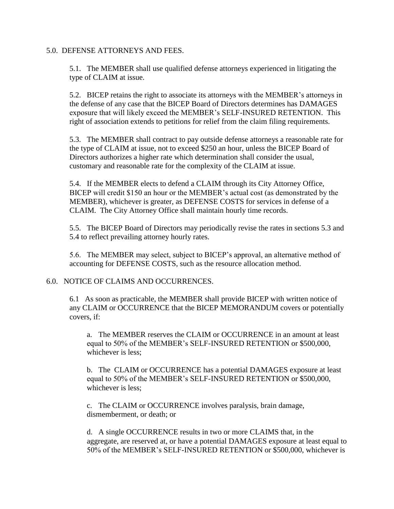#### 5.0. DEFENSE ATTORNEYS AND FEES.

5.1. The MEMBER shall use qualified defense attorneys experienced in litigating the type of CLAIM at issue.

5.2. BICEP retains the right to associate its attorneys with the MEMBER's attorneys in the defense of any case that the BICEP Board of Directors determines has DAMAGES exposure that will likely exceed the MEMBER's SELF-INSURED RETENTION. This right of association extends to petitions for relief from the claim filing requirements.

5.3. The MEMBER shall contract to pay outside defense attorneys a reasonable rate for the type of CLAIM at issue, not to exceed \$250 an hour, unless the BICEP Board of Directors authorizes a higher rate which determination shall consider the usual, customary and reasonable rate for the complexity of the CLAIM at issue.

5.4. If the MEMBER elects to defend a CLAIM through its City Attorney Office, BICEP will credit \$150 an hour or the MEMBER's actual cost (as demonstrated by the MEMBER), whichever is greater, as DEFENSE COSTS for services in defense of a CLAIM. The City Attorney Office shall maintain hourly time records.

5.5. The BICEP Board of Directors may periodically revise the rates in sections 5.3 and 5.4 to reflect prevailing attorney hourly rates.

5.6. The MEMBER may select, subject to BICEP's approval, an alternative method of accounting for DEFENSE COSTS, such as the resource allocation method.

#### 6.0. NOTICE OF CLAIMS AND OCCURRENCES.

6.1 As soon as practicable, the MEMBER shall provide BICEP with written notice of any CLAIM or OCCURRENCE that the BICEP MEMORANDUM covers or potentially covers, if:

a. The MEMBER reserves the CLAIM or OCCURRENCE in an amount at least equal to 50% of the MEMBER's SELF-INSURED RETENTION or \$500,000, whichever is less;

b. The CLAIM or OCCURRENCE has a potential DAMAGES exposure at least equal to 50% of the MEMBER's SELF-INSURED RETENTION or \$500,000, whichever is less;

c. The CLAIM or OCCURRENCE involves paralysis, brain damage, dismemberment, or death; or

d. A single OCCURRENCE results in two or more CLAIMS that, in the aggregate, are reserved at, or have a potential DAMAGES exposure at least equal to 50% of the MEMBER's SELF-INSURED RETENTION or \$500,000, whichever is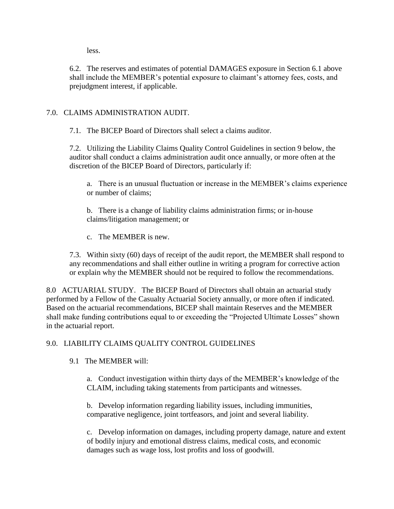less.

6.2. The reserves and estimates of potential DAMAGES exposure in Section 6.1 above shall include the MEMBER's potential exposure to claimant's attorney fees, costs, and prejudgment interest, if applicable.

# 7.0. CLAIMS ADMINISTRATION AUDIT.

7.1. The BICEP Board of Directors shall select a claims auditor.

7.2. Utilizing the Liability Claims Quality Control Guidelines in section 9 below, the auditor shall conduct a claims administration audit once annually, or more often at the discretion of the BICEP Board of Directors, particularly if:

a. There is an unusual fluctuation or increase in the MEMBER's claims experience or number of claims;

b. There is a change of liability claims administration firms; or in-house claims/litigation management; or

c. The MEMBER is new.

7.3. Within sixty (60) days of receipt of the audit report, the MEMBER shall respond to any recommendations and shall either outline in writing a program for corrective action or explain why the MEMBER should not be required to follow the recommendations.

8.0 ACTUARIAL STUDY. The BICEP Board of Directors shall obtain an actuarial study performed by a Fellow of the Casualty Actuarial Society annually, or more often if indicated. Based on the actuarial recommendations, BICEP shall maintain Reserves and the MEMBER shall make funding contributions equal to or exceeding the "Projected Ultimate Losses" shown in the actuarial report.

# 9.0. LIABILITY CLAIMS QUALITY CONTROL GUIDELINES

9.1 The MEMBER will:

a. Conduct investigation within thirty days of the MEMBER's knowledge of the CLAIM, including taking statements from participants and witnesses.

b. Develop information regarding liability issues, including immunities, comparative negligence, joint tortfeasors, and joint and several liability.

c. Develop information on damages, including property damage, nature and extent of bodily injury and emotional distress claims, medical costs, and economic damages such as wage loss, lost profits and loss of goodwill.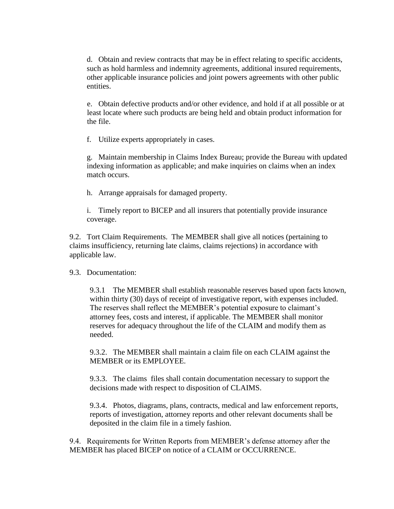d. Obtain and review contracts that may be in effect relating to specific accidents, such as hold harmless and indemnity agreements, additional insured requirements, other applicable insurance policies and joint powers agreements with other public entities.

e. Obtain defective products and/or other evidence, and hold if at all possible or at least locate where such products are being held and obtain product information for the file.

f. Utilize experts appropriately in cases.

g. Maintain membership in Claims Index Bureau; provide the Bureau with updated indexing information as applicable; and make inquiries on claims when an index match occurs.

h. Arrange appraisals for damaged property.

i. Timely report to BICEP and all insurers that potentially provide insurance coverage.

9.2. Tort Claim Requirements. The MEMBER shall give all notices (pertaining to claims insufficiency, returning late claims, claims rejections) in accordance with applicable law.

9.3. Documentation:

9.3.1 The MEMBER shall establish reasonable reserves based upon facts known, within thirty (30) days of receipt of investigative report, with expenses included. The reserves shall reflect the MEMBER's potential exposure to claimant's attorney fees, costs and interest, if applicable. The MEMBER shall monitor reserves for adequacy throughout the life of the CLAIM and modify them as needed.

9.3.2. The MEMBER shall maintain a claim file on each CLAIM against the MEMBER or its EMPLOYEE.

9.3.3. The claims files shall contain documentation necessary to support the decisions made with respect to disposition of CLAIMS.

9.3.4. Photos, diagrams, plans, contracts, medical and law enforcement reports, reports of investigation, attorney reports and other relevant documents shall be deposited in the claim file in a timely fashion.

9.4. Requirements for Written Reports from MEMBER's defense attorney after the MEMBER has placed BICEP on notice of a CLAIM or OCCURRENCE.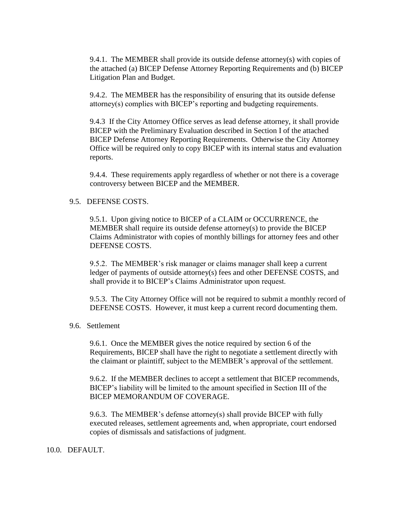9.4.1. The MEMBER shall provide its outside defense attorney(s) with copies of the attached (a) BICEP Defense Attorney Reporting Requirements and (b) BICEP Litigation Plan and Budget.

9.4.2. The MEMBER has the responsibility of ensuring that its outside defense attorney(s) complies with BICEP's reporting and budgeting requirements.

9.4.3 If the City Attorney Office serves as lead defense attorney, it shall provide BICEP with the Preliminary Evaluation described in Section I of the attached BICEP Defense Attorney Reporting Requirements. Otherwise the City Attorney Office will be required only to copy BICEP with its internal status and evaluation reports.

9.4.4. These requirements apply regardless of whether or not there is a coverage controversy between BICEP and the MEMBER.

#### 9.5. DEFENSE COSTS.

9.5.1. Upon giving notice to BICEP of a CLAIM or OCCURRENCE, the MEMBER shall require its outside defense attorney(s) to provide the BICEP Claims Administrator with copies of monthly billings for attorney fees and other DEFENSE COSTS.

9.5.2. The MEMBER's risk manager or claims manager shall keep a current ledger of payments of outside attorney(s) fees and other DEFENSE COSTS, and shall provide it to BICEP's Claims Administrator upon request.

9.5.3. The City Attorney Office will not be required to submit a monthly record of DEFENSE COSTS. However, it must keep a current record documenting them.

#### 9.6. Settlement

9.6.1. Once the MEMBER gives the notice required by section 6 of the Requirements, BICEP shall have the right to negotiate a settlement directly with the claimant or plaintiff, subject to the MEMBER's approval of the settlement.

9.6.2. If the MEMBER declines to accept a settlement that BICEP recommends, BICEP's liability will be limited to the amount specified in Section III of the BICEP MEMORANDUM OF COVERAGE.

9.6.3. The MEMBER's defense attorney(s) shall provide BICEP with fully executed releases, settlement agreements and, when appropriate, court endorsed copies of dismissals and satisfactions of judgment.

#### 10.0. DEFAULT.